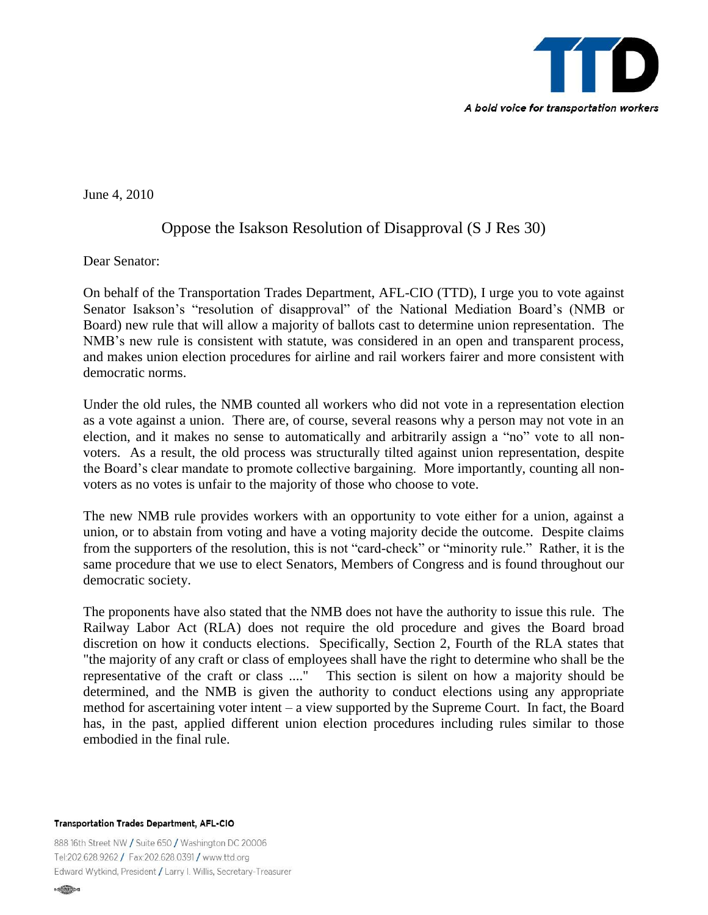

June 4, 2010

## Oppose the Isakson Resolution of Disapproval (S J Res 30)

Dear Senator:

On behalf of the Transportation Trades Department, AFL-CIO (TTD), I urge you to vote against Senator Isakson's "resolution of disapproval" of the National Mediation Board's (NMB or Board) new rule that will allow a majority of ballots cast to determine union representation. The NMB's new rule is consistent with statute, was considered in an open and transparent process, and makes union election procedures for airline and rail workers fairer and more consistent with democratic norms.

Under the old rules, the NMB counted all workers who did not vote in a representation election as a vote against a union. There are, of course, several reasons why a person may not vote in an election, and it makes no sense to automatically and arbitrarily assign a "no" vote to all nonvoters. As a result, the old process was structurally tilted against union representation, despite the Board's clear mandate to promote collective bargaining. More importantly, counting all nonvoters as no votes is unfair to the majority of those who choose to vote.

The new NMB rule provides workers with an opportunity to vote either for a union, against a union, or to abstain from voting and have a voting majority decide the outcome. Despite claims from the supporters of the resolution, this is not "card-check" or "minority rule." Rather, it is the same procedure that we use to elect Senators, Members of Congress and is found throughout our democratic society.

The proponents have also stated that the NMB does not have the authority to issue this rule. The Railway Labor Act (RLA) does not require the old procedure and gives the Board broad discretion on how it conducts elections. Specifically, Section 2, Fourth of the RLA states that "the majority of any craft or class of employees shall have the right to determine who shall be the representative of the craft or class ...." This section is silent on how a majority should be determined, and the NMB is given the authority to conduct elections using any appropriate method for ascertaining voter intent – a view supported by the Supreme Court. In fact, the Board has, in the past, applied different union election procedures including rules similar to those embodied in the final rule.

Transportation Trades Department, AFL-CIO

888 16th Street NW / Suite 650 / Washington DC 20006 Tel:202.628.9262 / Fax:202.628.0391 / www.ttd.org Edward Wytkind, President / Larry I. Willis, Secretary-Treasurer